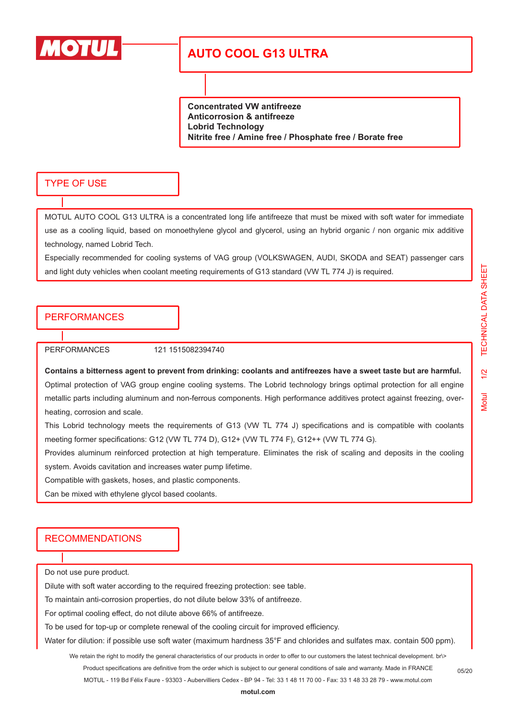

# **AUTO COOL G13 ULTRA**

**Concentrated VW antifreeze Anticorrosion & antifreeze Lobrid Technology Nitrite free / Amine free / Phosphate free / Borate free**

#### TYPE OF USE

MOTUL AUTO COOL G13 ULTRA is a concentrated long life antifreeze that must be mixed with soft water for immediate use as a cooling liquid, based on monoethylene glycol and glycerol, using an hybrid organic / non organic mix additive technology, named Lobrid Tech.

Especially recommended for cooling systems of VAG group (VOLKSWAGEN, AUDI, SKODA and SEAT) passenger cars and light duty vehicles when coolant meeting requirements of G13 standard (VW TL 774 J) is required.

### PERFORMANCES

PERFORMANCES 121 1515082394740

**Contains a bitterness agent to prevent from drinking: coolants and antifreezes have a sweet taste but are harmful.** Optimal protection of VAG group engine cooling systems. The Lobrid technology brings optimal protection for all engine metallic parts including aluminum and non-ferrous components. High performance additives protect against freezing, overheating, corrosion and scale.

This Lobrid technology meets the requirements of G13 (VW TL 774 J) specifications and is compatible with coolants meeting former specifications: G12 (VW TL 774 D), G12+ (VW TL 774 F), G12++ (VW TL 774 G).

Provides aluminum reinforced protection at high temperature. Eliminates the risk of scaling and deposits in the cooling system. Avoids cavitation and increases water pump lifetime.

Compatible with gaskets, hoses, and plastic components.

Can be mixed with ethylene glycol based coolants.

### RECOMMENDATIONS

Do not use pure product.

Dilute with soft water according to the required freezing protection: see table.

To maintain anti-corrosion properties, do not dilute below 33% of antifreeze.

For optimal cooling effect, do not dilute above 66% of antifreeze.

To be used for top-up or complete renewal of the cooling circuit for improved efficiency.

Water for dilution: if possible use soft water (maximum hardness 35°F and chlorides and sulfates max. contain 500 ppm).

We retain the right to modify the general characteristics of our products in order to offer to our customers the latest technical development. br\> Product specifications are definitive from the order which is subject to our general conditions of sale and warranty. Made in FRANCE MOTUL - 119 Bd Félix Faure - 93303 - Aubervilliers Cedex - BP 94 - Tel: 33 1 48 11 70 00 - Fax: 33 1 48 33 28 79 - www.motul.com

**[motul.com](http://www.motul.com)**